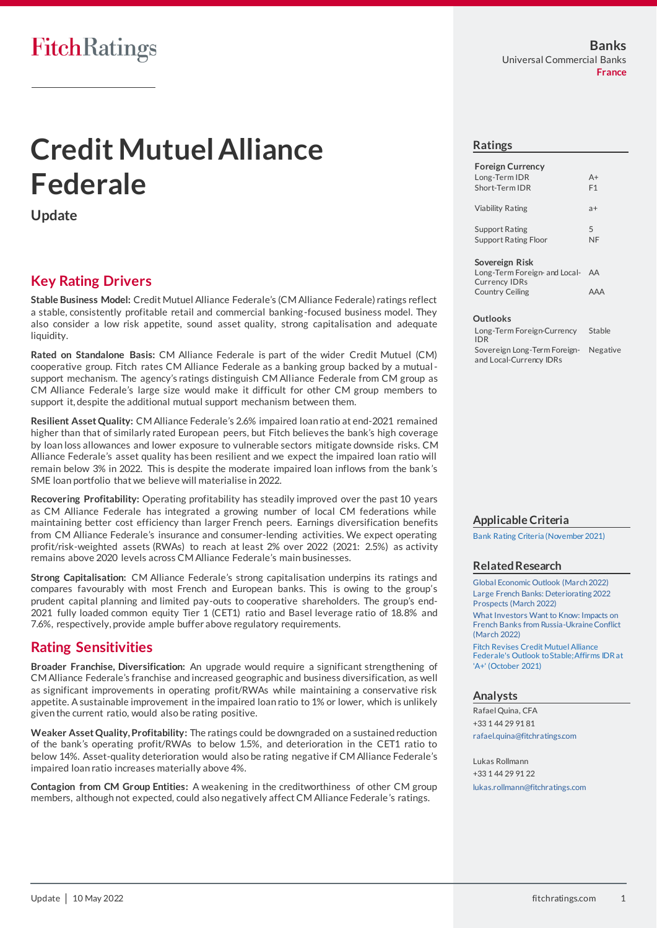# **Credit Mutuel Alliance Federale**

**Update**

### **Key Rating Drivers**

**Stable Business Model:** Credit Mutuel Alliance Federale's (CM Alliance Federale) ratings reflect a stable, consistently profitable retail and commercial banking-focused business model. They also consider a low risk appetite, sound asset quality, strong capitalisation and adequate liquidity.

**Rated on Standalone Basis:** CM Alliance Federale is part of the wider Credit Mutuel (CM) cooperative group. Fitch rates CM Alliance Federale as a banking group backed by a mutualsupport mechanism. The agency's ratings distinguish CM Alliance Federale from CM group as CM Alliance Federale's large size would make it difficult for other CM group members to support it, despite the additional mutual support mechanism between them.

**Resilient Asset Quality:** CM Alliance Federale's 2.6% impaired loan ratio at end-2021 remained higher than that of similarly rated European peers, but Fitch believes the bank's high coverage by loan loss allowances and lower exposure to vulnerable sectors mitigate downside risks. CM Alliance Federale's asset quality has been resilient and we expect the impaired loan ratio will remain below 3% in 2022. This is despite the moderate impaired loan inflows from the bank's SME loan portfolio that we believe will materialise in 2022.

**Recovering Profitability:** Operating profitability has steadily improved over the past 10 years as CM Alliance Federale has integrated a growing number of local CM federations while maintaining better cost efficiency than larger French peers. Earnings diversification benefits from CM Alliance Federale's insurance and consumer-lending activities. We expect operating profit/risk-weighted assets (RWAs) to reach at least 2% over 2022 (2021: 2.5%) as activity remains above 2020 levels across CM Alliance Federale's main businesses.

**Strong Capitalisation:** CM Alliance Federale's strong capitalisation underpins its ratings and compares favourably with most French and European banks. This is owing to the group's prudent capital planning and limited pay-outs to cooperative shareholders. The group's end-2021 fully loaded common equity Tier 1 (CET1) ratio and Basel leverage ratio of 18.8% and 7.6%, respectively, provide ample buffer above regulatory requirements.

### **Rating Sensitivities**

**Broader Franchise, Diversification:** An upgrade would require a significant strengthening of CM Alliance Federale's franchise and increased geographic and business diversification, as well as significant improvements in operating profit/RWAs while maintaining a conservative risk appetite. A sustainable improvement in the impaired loan ratio to 1% or lower, which is unlikely given the current ratio, would also be rating positive.

**Weaker Asset Quality, Profitability:** The ratings could be downgraded on a sustained reduction of the bank's operating profit/RWAs to below 1.5%, and deterioration in the CET1 ratio to below 14%. Asset-quality deterioration would also be rating negative if CM Alliance Federale's impaired loan ratio increases materially above 4%.

**Contagion from CM Group Entities:** A weakening in the creditworthiness of other CM group members, although not expected, could also negatively affect CM Alliance Federale's ratings.

#### **Ratings**

| <b>Foreign Currency</b><br>Long-Term IDR<br>Short-Term IDR | $A+$<br>F1 |
|------------------------------------------------------------|------------|
| Viability Rating                                           | $a+$       |
| <b>Support Rating</b><br><b>Support Rating Floor</b>       | 5<br>NF    |

#### **Sovereign Risk**

Long-Term Foreign- and Local-AA Currency IDRs Country Ceiling AAA

#### **Outlooks**

Long-Term Foreign-Currency IDR Stable Sovereign Long-Term Foreignand Local-Currency IDRs Negative

### **Applicable Criteria**

[Bank Rating Criteria \(November 2021\)](https://app.fitchconnect.com/search/research/article/RPT_10182112?jwt=eyJhbGciOiJIUzUxMiJ9.eyJzdWIiOiJ3YXRlcm1hcmsiLCJ1c2VySUQiOiIzQWt5NmpaOXpVVThhZWpqa1FhRnkiLCJkb2NJRCI6IkZSX1JQVF8xMDIwMDU4OCIsIlVVSUQiOiJlYzBjMjhkMS04NWI1LTQ5OTEtOGRiOC1kYmQ4NDU4ZjU0MDkiLCJjbGllbnRJRCI6IjNvcEp5UkVOd1luYlNTN1h4VjhCN20iLCJ0aW1lc3RhbXAiOnsibmFubyI6MzcwNjM1MDAwLCJ5ZWFyIjoyMDIyLCJtb250aFZhbHVlIjo1LCJkYXlPZk1vbnRoIjoxMSwiaG91ciI6OSwibWludXRlIjozNywic2Vjb25kIjoxOCwiZGF5T2ZXZWVrIjoiV0VETkVTREFZIiwiZGF5T2ZZZWFyIjoxMzEsIm1vbnRoIjoiTUFZIiwiY2hyb25vbG9neSI6eyJpZCI6IklTTyIsImNhbGVuZGFyVHlwZSI6Imlzbzg2MDEifX19.Y7AOVpWMpnvSJ03QIUixQ8t2bs3m4FNN9mvPIUK9CaFz64mztNQHUfwPZHjcdyFZ08aEL6Syf_kVkk8n6yoHEw)

#### **Related Research**

[Global Economic Outlook \(March 2022\)](https://app.fitchconnect.com/search/research/article/RPT_10197212?jwt=eyJhbGciOiJIUzUxMiJ9.eyJzdWIiOiJ3YXRlcm1hcmsiLCJ1c2VySUQiOiIzQWt5NmpaOXpVVThhZWpqa1FhRnkiLCJkb2NJRCI6IkZSX1JQVF8xMDIwMDU4OCIsIlVVSUQiOiJlYzBjMjhkMS04NWI1LTQ5OTEtOGRiOC1kYmQ4NDU4ZjU0MDkiLCJjbGllbnRJRCI6IjNvcEp5UkVOd1luYlNTN1h4VjhCN20iLCJ0aW1lc3RhbXAiOnsibmFubyI6MzcwNjM1MDAwLCJ5ZWFyIjoyMDIyLCJtb250aFZhbHVlIjo1LCJkYXlPZk1vbnRoIjoxMSwiaG91ciI6OSwibWludXRlIjozNywic2Vjb25kIjoxOCwiZGF5T2ZXZWVrIjoiV0VETkVTREFZIiwiZGF5T2ZZZWFyIjoxMzEsIm1vbnRoIjoiTUFZIiwiY2hyb25vbG9neSI6eyJpZCI6IklTTyIsImNhbGVuZGFyVHlwZSI6Imlzbzg2MDEifX19.Y7AOVpWMpnvSJ03QIUixQ8t2bs3m4FNN9mvPIUK9CaFz64mztNQHUfwPZHjcdyFZ08aEL6Syf_kVkk8n6yoHEw) [Large French Banks: Deteriorating 2022](https://app.fitchconnect.com/search/research/article/RPT_10195666?jwt=eyJhbGciOiJIUzUxMiJ9.eyJzdWIiOiJ3YXRlcm1hcmsiLCJ1c2VySUQiOiIzQWt5NmpaOXpVVThhZWpqa1FhRnkiLCJkb2NJRCI6IkZSX1JQVF8xMDIwMDU4OCIsIlVVSUQiOiJlYzBjMjhkMS04NWI1LTQ5OTEtOGRiOC1kYmQ4NDU4ZjU0MDkiLCJjbGllbnRJRCI6IjNvcEp5UkVOd1luYlNTN1h4VjhCN20iLCJ0aW1lc3RhbXAiOnsibmFubyI6MzcwNjM1MDAwLCJ5ZWFyIjoyMDIyLCJtb250aFZhbHVlIjo1LCJkYXlPZk1vbnRoIjoxMSwiaG91ciI6OSwibWludXRlIjozNywic2Vjb25kIjoxOCwiZGF5T2ZXZWVrIjoiV0VETkVTREFZIiwiZGF5T2ZZZWFyIjoxMzEsIm1vbnRoIjoiTUFZIiwiY2hyb25vbG9neSI6eyJpZCI6IklTTyIsImNhbGVuZGFyVHlwZSI6Imlzbzg2MDEifX19.Y7AOVpWMpnvSJ03QIUixQ8t2bs3m4FNN9mvPIUK9CaFz64mztNQHUfwPZHjcdyFZ08aEL6Syf_kVkk8n6yoHEw)  [Prospects \(March 2022\)](https://app.fitchconnect.com/search/research/article/RPT_10195666?jwt=eyJhbGciOiJIUzUxMiJ9.eyJzdWIiOiJ3YXRlcm1hcmsiLCJ1c2VySUQiOiIzQWt5NmpaOXpVVThhZWpqa1FhRnkiLCJkb2NJRCI6IkZSX1JQVF8xMDIwMDU4OCIsIlVVSUQiOiJlYzBjMjhkMS04NWI1LTQ5OTEtOGRiOC1kYmQ4NDU4ZjU0MDkiLCJjbGllbnRJRCI6IjNvcEp5UkVOd1luYlNTN1h4VjhCN20iLCJ0aW1lc3RhbXAiOnsibmFubyI6MzcwNjM1MDAwLCJ5ZWFyIjoyMDIyLCJtb250aFZhbHVlIjo1LCJkYXlPZk1vbnRoIjoxMSwiaG91ciI6OSwibWludXRlIjozNywic2Vjb25kIjoxOCwiZGF5T2ZXZWVrIjoiV0VETkVTREFZIiwiZGF5T2ZZZWFyIjoxMzEsIm1vbnRoIjoiTUFZIiwiY2hyb25vbG9neSI6eyJpZCI6IklTTyIsImNhbGVuZGFyVHlwZSI6Imlzbzg2MDEifX19.Y7AOVpWMpnvSJ03QIUixQ8t2bs3m4FNN9mvPIUK9CaFz64mztNQHUfwPZHjcdyFZ08aEL6Syf_kVkk8n6yoHEw) [What Investors Want to Know: Impacts on](https://app.fitchconnect.com/search/research/article/RPT_10196894?jwt=eyJhbGciOiJIUzUxMiJ9.eyJzdWIiOiJ3YXRlcm1hcmsiLCJ1c2VySUQiOiIzQWt5NmpaOXpVVThhZWpqa1FhRnkiLCJkb2NJRCI6IkZSX1JQVF8xMDIwMDU4OCIsIlVVSUQiOiJlYzBjMjhkMS04NWI1LTQ5OTEtOGRiOC1kYmQ4NDU4ZjU0MDkiLCJjbGllbnRJRCI6IjNvcEp5UkVOd1luYlNTN1h4VjhCN20iLCJ0aW1lc3RhbXAiOnsibmFubyI6MzcwNjM1MDAwLCJ5ZWFyIjoyMDIyLCJtb250aFZhbHVlIjo1LCJkYXlPZk1vbnRoIjoxMSwiaG91ciI6OSwibWludXRlIjozNywic2Vjb25kIjoxOCwiZGF5T2ZXZWVrIjoiV0VETkVTREFZIiwiZGF5T2ZZZWFyIjoxMzEsIm1vbnRoIjoiTUFZIiwiY2hyb25vbG9neSI6eyJpZCI6IklTTyIsImNhbGVuZGFyVHlwZSI6Imlzbzg2MDEifX19.Y7AOVpWMpnvSJ03QIUixQ8t2bs3m4FNN9mvPIUK9CaFz64mztNQHUfwPZHjcdyFZ08aEL6Syf_kVkk8n6yoHEw)  [French Banks from Russia-Ukraine Conflict](https://app.fitchconnect.com/search/research/article/RPT_10196894?jwt=eyJhbGciOiJIUzUxMiJ9.eyJzdWIiOiJ3YXRlcm1hcmsiLCJ1c2VySUQiOiIzQWt5NmpaOXpVVThhZWpqa1FhRnkiLCJkb2NJRCI6IkZSX1JQVF8xMDIwMDU4OCIsIlVVSUQiOiJlYzBjMjhkMS04NWI1LTQ5OTEtOGRiOC1kYmQ4NDU4ZjU0MDkiLCJjbGllbnRJRCI6IjNvcEp5UkVOd1luYlNTN1h4VjhCN20iLCJ0aW1lc3RhbXAiOnsibmFubyI6MzcwNjM1MDAwLCJ5ZWFyIjoyMDIyLCJtb250aFZhbHVlIjo1LCJkYXlPZk1vbnRoIjoxMSwiaG91ciI6OSwibWludXRlIjozNywic2Vjb25kIjoxOCwiZGF5T2ZXZWVrIjoiV0VETkVTREFZIiwiZGF5T2ZZZWFyIjoxMzEsIm1vbnRoIjoiTUFZIiwiY2hyb25vbG9neSI6eyJpZCI6IklTTyIsImNhbGVuZGFyVHlwZSI6Imlzbzg2MDEifX19.Y7AOVpWMpnvSJ03QIUixQ8t2bs3m4FNN9mvPIUK9CaFz64mztNQHUfwPZHjcdyFZ08aEL6Syf_kVkk8n6yoHEw)  [\(March 2022\)](https://app.fitchconnect.com/search/research/article/RPT_10196894?jwt=eyJhbGciOiJIUzUxMiJ9.eyJzdWIiOiJ3YXRlcm1hcmsiLCJ1c2VySUQiOiIzQWt5NmpaOXpVVThhZWpqa1FhRnkiLCJkb2NJRCI6IkZSX1JQVF8xMDIwMDU4OCIsIlVVSUQiOiJlYzBjMjhkMS04NWI1LTQ5OTEtOGRiOC1kYmQ4NDU4ZjU0MDkiLCJjbGllbnRJRCI6IjNvcEp5UkVOd1luYlNTN1h4VjhCN20iLCJ0aW1lc3RhbXAiOnsibmFubyI6MzcwNjM1MDAwLCJ5ZWFyIjoyMDIyLCJtb250aFZhbHVlIjo1LCJkYXlPZk1vbnRoIjoxMSwiaG91ciI6OSwibWludXRlIjozNywic2Vjb25kIjoxOCwiZGF5T2ZXZWVrIjoiV0VETkVTREFZIiwiZGF5T2ZZZWFyIjoxMzEsIm1vbnRoIjoiTUFZIiwiY2hyb25vbG9neSI6eyJpZCI6IklTTyIsImNhbGVuZGFyVHlwZSI6Imlzbzg2MDEifX19.Y7AOVpWMpnvSJ03QIUixQ8t2bs3m4FNN9mvPIUK9CaFz64mztNQHUfwPZHjcdyFZ08aEL6Syf_kVkk8n6yoHEw)

[Fitch Revises Credit Mutuel Alliance](https://app.fitchconnect.com/search/research/article/PR_10182379?jwt=eyJhbGciOiJIUzUxMiJ9.eyJzdWIiOiJ3YXRlcm1hcmsiLCJ1c2VySUQiOiIzQWt5NmpaOXpVVThhZWpqa1FhRnkiLCJkb2NJRCI6IkZSX1JQVF8xMDIwMDU4OCIsIlVVSUQiOiJlYzBjMjhkMS04NWI1LTQ5OTEtOGRiOC1kYmQ4NDU4ZjU0MDkiLCJjbGllbnRJRCI6IjNvcEp5UkVOd1luYlNTN1h4VjhCN20iLCJ0aW1lc3RhbXAiOnsibmFubyI6MzcwNjM1MDAwLCJ5ZWFyIjoyMDIyLCJtb250aFZhbHVlIjo1LCJkYXlPZk1vbnRoIjoxMSwiaG91ciI6OSwibWludXRlIjozNywic2Vjb25kIjoxOCwiZGF5T2ZXZWVrIjoiV0VETkVTREFZIiwiZGF5T2ZZZWFyIjoxMzEsIm1vbnRoIjoiTUFZIiwiY2hyb25vbG9neSI6eyJpZCI6IklTTyIsImNhbGVuZGFyVHlwZSI6Imlzbzg2MDEifX19.Y7AOVpWMpnvSJ03QIUixQ8t2bs3m4FNN9mvPIUK9CaFz64mztNQHUfwPZHjcdyFZ08aEL6Syf_kVkk8n6yoHEw)  [Federale's Outlook to Stable; Affirms IDR at](https://app.fitchconnect.com/search/research/article/PR_10182379?jwt=eyJhbGciOiJIUzUxMiJ9.eyJzdWIiOiJ3YXRlcm1hcmsiLCJ1c2VySUQiOiIzQWt5NmpaOXpVVThhZWpqa1FhRnkiLCJkb2NJRCI6IkZSX1JQVF8xMDIwMDU4OCIsIlVVSUQiOiJlYzBjMjhkMS04NWI1LTQ5OTEtOGRiOC1kYmQ4NDU4ZjU0MDkiLCJjbGllbnRJRCI6IjNvcEp5UkVOd1luYlNTN1h4VjhCN20iLCJ0aW1lc3RhbXAiOnsibmFubyI6MzcwNjM1MDAwLCJ5ZWFyIjoyMDIyLCJtb250aFZhbHVlIjo1LCJkYXlPZk1vbnRoIjoxMSwiaG91ciI6OSwibWludXRlIjozNywic2Vjb25kIjoxOCwiZGF5T2ZXZWVrIjoiV0VETkVTREFZIiwiZGF5T2ZZZWFyIjoxMzEsIm1vbnRoIjoiTUFZIiwiY2hyb25vbG9neSI6eyJpZCI6IklTTyIsImNhbGVuZGFyVHlwZSI6Imlzbzg2MDEifX19.Y7AOVpWMpnvSJ03QIUixQ8t2bs3m4FNN9mvPIUK9CaFz64mztNQHUfwPZHjcdyFZ08aEL6Syf_kVkk8n6yoHEw)  ['A+' \(October 2021\)](https://app.fitchconnect.com/search/research/article/PR_10182379?jwt=eyJhbGciOiJIUzUxMiJ9.eyJzdWIiOiJ3YXRlcm1hcmsiLCJ1c2VySUQiOiIzQWt5NmpaOXpVVThhZWpqa1FhRnkiLCJkb2NJRCI6IkZSX1JQVF8xMDIwMDU4OCIsIlVVSUQiOiJlYzBjMjhkMS04NWI1LTQ5OTEtOGRiOC1kYmQ4NDU4ZjU0MDkiLCJjbGllbnRJRCI6IjNvcEp5UkVOd1luYlNTN1h4VjhCN20iLCJ0aW1lc3RhbXAiOnsibmFubyI6MzcwNjM1MDAwLCJ5ZWFyIjoyMDIyLCJtb250aFZhbHVlIjo1LCJkYXlPZk1vbnRoIjoxMSwiaG91ciI6OSwibWludXRlIjozNywic2Vjb25kIjoxOCwiZGF5T2ZXZWVrIjoiV0VETkVTREFZIiwiZGF5T2ZZZWFyIjoxMzEsIm1vbnRoIjoiTUFZIiwiY2hyb25vbG9neSI6eyJpZCI6IklTTyIsImNhbGVuZGFyVHlwZSI6Imlzbzg2MDEifX19.Y7AOVpWMpnvSJ03QIUixQ8t2bs3m4FNN9mvPIUK9CaFz64mztNQHUfwPZHjcdyFZ08aEL6Syf_kVkk8n6yoHEw)

#### **Analysts**

Rafael Quina, CFA +33 1 44 29 91 81 [rafael.quina@fitchratings.com](mailto:rafael.quina@fitchratings.com)

Lukas Rollmann +33 1 44 29 91 22 [lukas.rollmann@fitchratings.com](mailto:lukas.rollmann@fitchratings.com)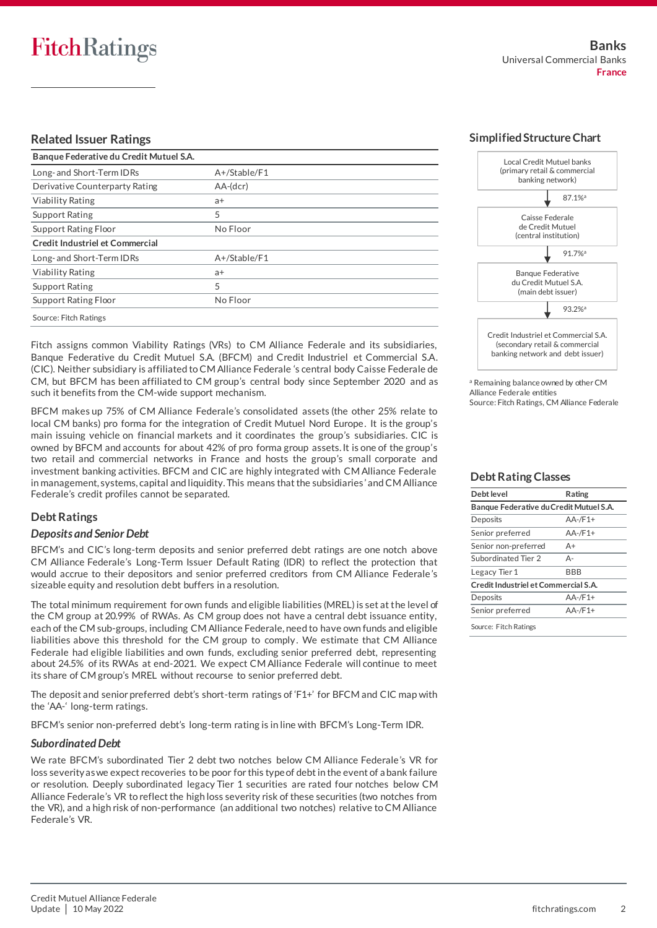#### **Related Issuer Ratings**

| Banque Federative du Credit Mutuel S.A. |              |  |  |
|-----------------------------------------|--------------|--|--|
| Long- and Short-Term IDRs               | A+/Stable/F1 |  |  |
| Derivative Counterparty Rating          | $AA-(dcr)$   |  |  |
| <b>Viability Rating</b>                 | $a+$         |  |  |
| <b>Support Rating</b>                   | 5            |  |  |
| Support Rating Floor                    | No Floor     |  |  |
| Credit Industriel et Commercial         |              |  |  |
| Long- and Short-Term IDRs               | A+/Stable/F1 |  |  |
| <b>Viability Rating</b>                 | a+           |  |  |
| <b>Support Rating</b>                   | 5            |  |  |
| Support Rating Floor                    | No Floor     |  |  |
| Source: Fitch Ratings                   |              |  |  |

Fitch assigns common Viability Ratings (VRs) to CM Alliance Federale and its subsidiaries, Banque Federative du Credit Mutuel S.A. (BFCM) and Credit Industriel et Commercial S.A. (CIC). Neither subsidiary is affiliated to CM Alliance Federale 's central body Caisse Federale de CM, but BFCM has been affiliated to CM group's central body since September 2020 and as such it benefits from the CM-wide support mechanism.

BFCM makes up 75% of CM Alliance Federale's consolidated assets (the other 25% relate to local CM banks) pro forma for the integration of Credit Mutuel Nord Europe. It is the group's main issuing vehicle on financial markets and it coordinates the group's subsidiaries. CIC is owned by BFCM and accounts for about 42% of pro forma group assets. It is one of the group's two retail and commercial networks in France and hosts the group's small corporate and investment banking activities. BFCM and CIC are highly integrated with CM Alliance Federale in management, systems, capital and liquidity. This means that the subsidiaries' and CM Alliance Federale's credit profiles cannot be separated.

#### **Debt Ratings**

#### *Deposits and Senior Debt*

BFCM's and CIC's long-term deposits and senior preferred debt ratings are one notch above CM Alliance Federale's Long-Term Issuer Default Rating (IDR) to reflect the protection that would accrue to their depositors and senior preferred creditors from CM Alliance Federale's sizeable equity and resolution debt buffers in a resolution.

The total minimum requirement for own funds and eligible liabilities (MREL) is set at the level of the CM group at 20.99% of RWAs. As CM group does not have a central debt issuance entity, each of the CM sub-groups, including CM Alliance Federale, need to have own funds and eligible liabilities above this threshold for the CM group to comply. We estimate that CM Alliance Federale had eligible liabilities and own funds, excluding senior preferred debt, representing about 24.5% of its RWAs at end-2021. We expect CM Alliance Federale will continue to meet its share of CM group's MREL without recourse to senior preferred debt.

The deposit and senior preferred debt's short-term ratings of 'F1+' for BFCM and CIC map with the 'AA-' long-term ratings.

BFCM's senior non-preferred debt's long-term rating is in line with BFCM's Long-Term IDR.

#### *Subordinated Debt*

We rate BFCM's subordinated Tier 2 debt two notches below CM Alliance Federale's VR for loss severity as we expect recoveries to be poor for this type of debt in the event of a bank failure or resolution. Deeply subordinated legacy Tier 1 securities are rated four notches below CM Alliance Federale's VR to reflect the high loss severity risk of these securities (two notches from the VR), and a high risk of non-performance (an additional two notches) relative to CM Alliance Federale's VR.



<sup>a</sup> Remaining balance owned by other CM Alliance Federale entities Source: Fitch Ratings, CM Alliance Federale

#### **Debt Rating Classes**

| Debt level                              | Rating       |  |  |
|-----------------------------------------|--------------|--|--|
| Banque Federative du Credit Mutuel S.A. |              |  |  |
| Deposits                                | $AA$ -/F1+   |  |  |
| Senior preferred                        | $AA - /F1 +$ |  |  |
| Senior non-preferred                    | A+           |  |  |
| Subordinated Tier 2                     | Δ-           |  |  |
| Legacy Tier 1                           | BBB          |  |  |
| Credit Industriel et Commercial S.A.    |              |  |  |
| Deposits                                | $AA - /F1 +$ |  |  |
| Senior preferred                        | $AA - /F1 +$ |  |  |
| Source: Fitch Ratings                   |              |  |  |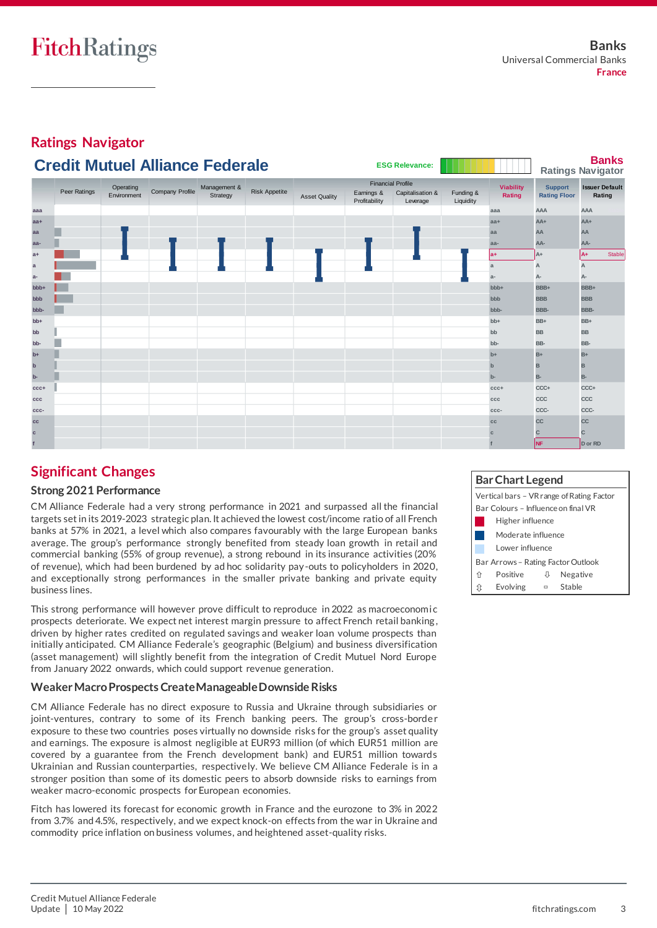

### **Significant Changes**

#### **Strong 2021 Performance**

CM Alliance Federale had a very strong performance in 2021 and surpassed all the financial targets set in its 2019-2023 strategic plan. It achieved the lowest cost/income ratio of all French banks at 57% in 2021, a level which also compares favourably with the large European banks average. The group's performance strongly benefited from steady loan growth in retail and commercial banking (55% of group revenue), a strong rebound in its insurance activities (20% of revenue), which had been burdened by ad hoc solidarity pay-outs to policyholders in 2020, and exceptionally strong performances in the smaller private banking and private equity business lines.

This strong performance will however prove difficult to reproduce in 2022 as macroeconomic prospects deteriorate. We expect net interest margin pressure to affect French retail banking, driven by higher rates credited on regulated savings and weaker loan volume prospects than initially anticipated. CM Alliance Federale's geographic (Belgium) and business diversification (asset management) will slightly benefit from the integration of Credit Mutuel Nord Europe from January 2022 onwards, which could support revenue generation.

### **Weaker Macro Prospects Create Manageable Downside Risks**

CM Alliance Federale has no direct exposure to Russia and Ukraine through subsidiaries or joint-ventures, contrary to some of its French banking peers. The group's cross-border exposure to these two countries poses virtually no downside risks for the group's asset quality and earnings. The exposure is almost negligible at EUR93 million (of which EUR51 million are covered by a guarantee from the French development bank) and EUR51 million towards Ukrainian and Russian counterparties, respectively. We believe CM Alliance Federale is in a stronger position than some of its domestic peers to absorb downside risks to earnings from weaker macro-economic prospects for European economies.

Fitch has lowered its forecast for economic growth in France and the eurozone to 3% in 2022 from 3.7% and 4.5%, respectively, and we expect knock-on effects from the war in Ukraine and commodity price inflation on business volumes, and heightened asset-quality risks.

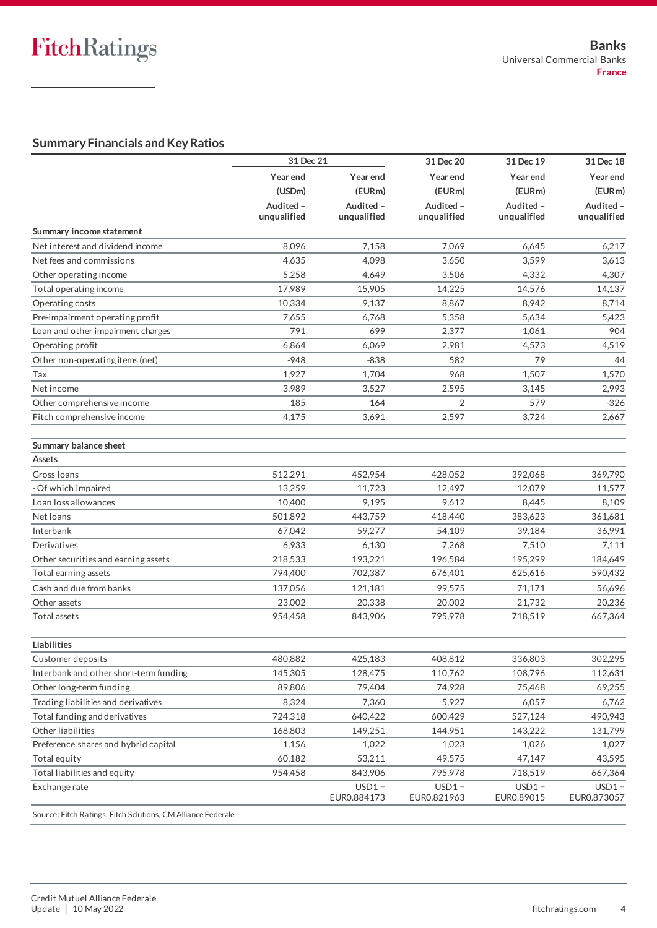### **Summary Financials and Key Ratios**

|                                        | 31 Dec 21                |                          | 31 Dec 20                | 31 Dec 19                | 31 Dec 18                |
|----------------------------------------|--------------------------|--------------------------|--------------------------|--------------------------|--------------------------|
|                                        | Year end                 | Year end                 | Year end                 | Year end                 | Year end                 |
|                                        | (USDm)                   | (EURm)                   | (EURm)                   | (EURm)                   | (EURm)                   |
|                                        | Audited -<br>unqualified | Audited -<br>unqualified | Audited -<br>unqualified | Audited -<br>unqualified | Audited -<br>unqualified |
| Summary income statement               |                          |                          |                          |                          |                          |
| Net interest and dividend income       | 8,096                    | 7,158                    | 7,069                    | 6,645                    | 6,217                    |
| Net fees and commissions               | 4,635                    | 4,098                    | 3,650                    | 3,599                    | 3,613                    |
| Other operating income                 | 5,258                    | 4,649                    | 3,506                    | 4,332                    | 4,307                    |
| Total operating income                 | 17,989                   | 15,905                   | 14,225                   | 14,576                   | 14,137                   |
| Operating costs                        | 10,334                   | 9,137                    | 8,867                    | 8,942                    | 8,714                    |
| Pre-impairment operating profit        | 7,655                    | 6,768                    | 5,358                    | 5,634                    | 5,423                    |
| Loan and other impairment charges      | 791                      | 699                      | 2,377                    | 1,061                    | 904                      |
| Operating profit                       | 6,864                    | 6,069                    | 2,981                    | 4,573                    | 4,519                    |
| Other non-operating items (net)        | $-948$                   | $-838$                   | 582                      | 79                       | 44                       |
| Tax                                    | 1,927                    | 1,704                    | 968                      | 1,507                    | 1,570                    |
| Net income                             | 3,989                    | 3,527                    | 2,595                    | 3,145                    | 2,993                    |
| Other comprehensive income             | 185                      | 164                      | 2                        | 579                      | $-326$                   |
| Fitch comprehensive income             | 4,175                    | 3,691                    | 2,597                    | 3,724                    | 2,667                    |
|                                        |                          |                          |                          |                          |                          |
| Summary balance sheet                  |                          |                          |                          |                          |                          |
| Assets                                 |                          |                          |                          |                          |                          |
| Gross Ioans                            | 512,291                  | 452,954                  | 428,052                  | 392,068                  | 369,790                  |
| - Of which impaired                    | 13,259                   | 11,723                   | 12,497                   | 12,079                   | 11,577                   |
| Loan loss allowances                   | 10,400                   | 9,195                    | 9,612                    | 8,445                    | 8,109                    |
| Net loans                              | 501,892                  | 443,759                  | 418,440                  | 383,623                  | 361,681                  |
| Interbank                              | 67,042                   | 59,277                   | 54,109                   | 39,184                   | 36,991                   |
| Derivatives                            | 6,933                    | 6,130                    | 7,268                    | 7,510                    | 7,111                    |
| Other securities and earning assets    | 218,533                  | 193,221                  | 196,584                  | 195,299                  | 184,649                  |
| Total earning assets                   | 794,400                  | 702,387                  | 676,401                  | 625,616                  | 590,432                  |
| Cash and due from banks                | 137,056                  | 121,181                  | 99.575                   | 71,171                   | 56,696                   |
| Other assets                           | 23,002                   | 20,338                   | 20,002                   | 21,732                   | 20,236                   |
| Total assets                           | 954,458                  | 843,906                  | 795,978                  | 718,519                  | 667,364                  |
| Liabilities                            |                          |                          |                          |                          |                          |
| Customer deposits                      | 480,882                  | 425,183                  | 408,812                  | 336,803                  | 302,295                  |
| Interbank and other short-term funding | 145,305                  | 128,475                  | 110,762                  | 108,796                  | 112,631                  |
| Other long-term funding                | 89,806                   | 79,404                   | 74,928                   | 75,468                   | 69,255                   |
| Trading liabilities and derivatives    | 8,324                    | 7,360                    | 5,927                    | 6,057                    | 6,762                    |
| Total funding and derivatives          | 724,318                  | 640,422                  | 600,429                  | 527,124                  | 490,943                  |
| Other liabilities                      | 168,803                  | 149,251                  | 144,951                  | 143,222                  | 131,799                  |
| Preference shares and hybrid capital   | 1,156                    | 1,022                    | 1,023                    | 1,026                    | 1,027                    |
| Total equity                           | 60,182                   | 53,211                   | 49,575                   | 47,147                   | 43,595                   |
| Total liabilities and equity           | 954,458                  | 843,906                  | 795,978                  | 718,519                  | 667,364                  |
| Exchange rate                          |                          | $USD1 =$<br>EUR0.884173  | $USD1 =$<br>EUR0.821963  | $USD1 =$<br>EUR0.89015   | $USD1 =$<br>EUR0.873057  |
|                                        |                          |                          |                          |                          |                          |

Source: Fitch Ratings, Fitch Solutions, CM Alliance Federale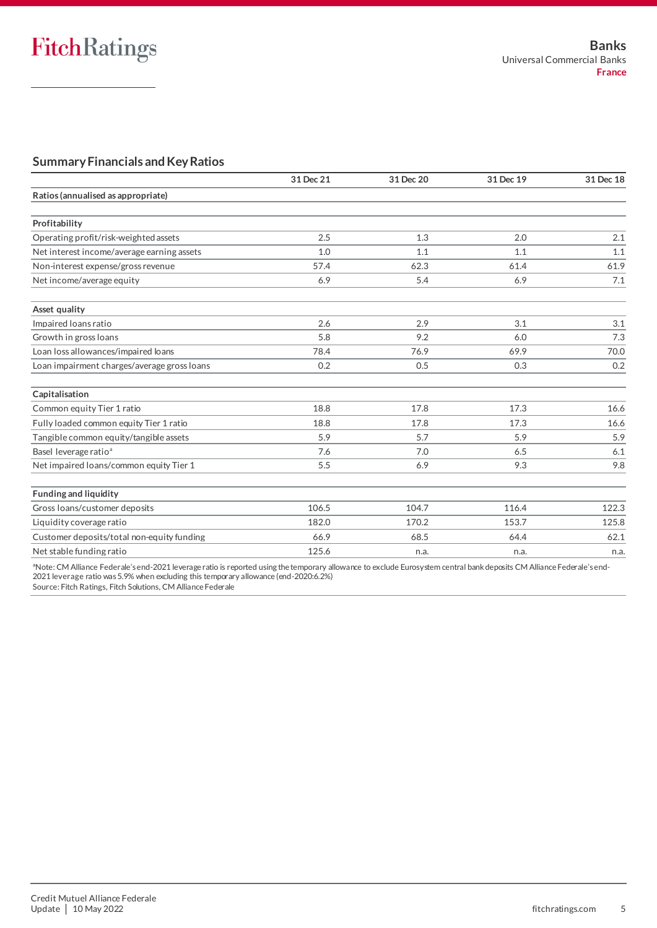### **Summary Financials and Key Ratios**

|                                             | 31 Dec 21 | 31 Dec 20 | 31 Dec 19 | 31 Dec 18 |
|---------------------------------------------|-----------|-----------|-----------|-----------|
| Ratios (annualised as appropriate)          |           |           |           |           |
| Profitability                               |           |           |           |           |
| Operating profit/risk-weighted assets       | 2.5       | 1.3       | 2.0       | 2.1       |
| Net interest income/average earning assets  | 1.0       | 1.1       | 1.1       | 1.1       |
| Non-interest expense/gross revenue          | 57.4      | 62.3      | 61.4      | 61.9      |
| Net income/average equity                   | 6.9       | 5.4       | 6.9       | 7.1       |
| Asset quality                               |           |           |           |           |
| Impaired loans ratio                        | 2.6       | 2.9       | 3.1       | 3.1       |
| Growth in gross loans                       | 5.8       | 9.2       | 6.0       | 7.3       |
| Loan loss allowances/impaired loans         | 78.4      | 76.9      | 69.9      | 70.0      |
| Loan impairment charges/average gross loans | 0.2       | 0.5       | 0.3       | 0.2       |
| Capitalisation                              |           |           |           |           |
| Common equity Tier 1 ratio                  | 18.8      | 17.8      | 17.3      | 16.6      |
| Fully loaded common equity Tier 1 ratio     | 18.8      | 17.8      | 17.3      | 16.6      |
| Tangible common equity/tangible assets      | 5.9       | 5.7       | 5.9       | 5.9       |
| Basel leverage ratio <sup>a</sup>           | 7.6       | 7.0       | 6.5       | 6.1       |
| Net impaired loans/common equity Tier 1     | 5.5       | 6.9       | 9.3       | 9.8       |
| <b>Funding and liquidity</b>                |           |           |           |           |
| Gross loans/customer deposits               | 106.5     | 104.7     | 116.4     | 122.3     |
| Liquidity coverage ratio                    | 182.0     | 170.2     | 153.7     | 125.8     |
| Customer deposits/total non-equity funding  | 66.9      | 68.5      | 64.4      | 62.1      |
| Net stable funding ratio                    | 125.6     | n.a.      | n.a.      | n.a.      |

ªNote: CM Alliance Federale's end-2021 leverage ratio is reported using the temporary allowance to exclude Eurosystem central bank deposits CM Alliance Federale's end-2021 leverage ratio was 5.9% when excluding this temporary allowance (end-2020:6.2%)

Source: Fitch Ratings, Fitch Solutions, CM Alliance Federale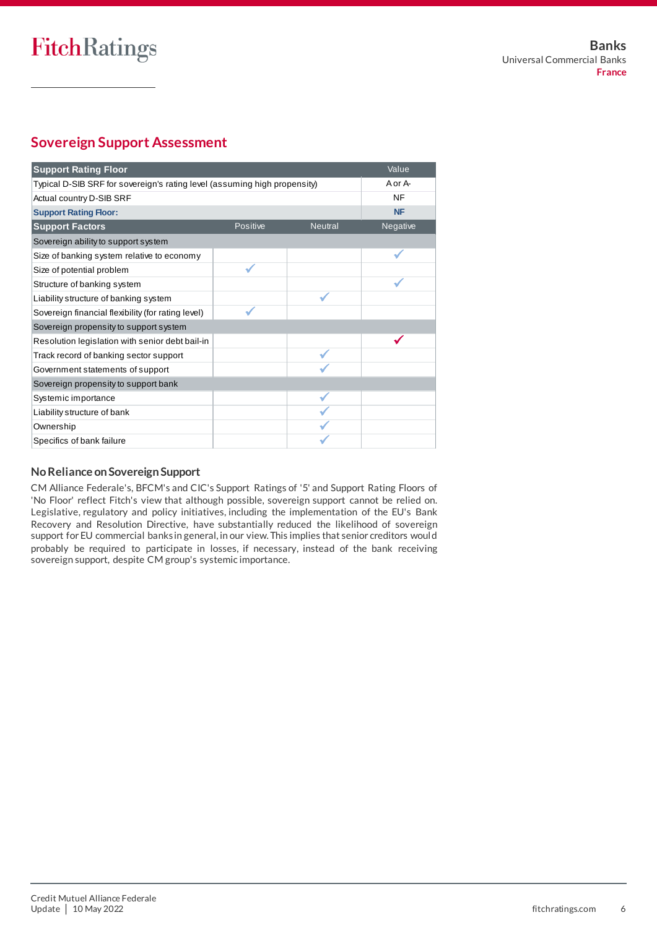## **Sovereign Support Assessment**

| Value<br><b>Support Rating Floor</b>                                      |          |                |           |  |
|---------------------------------------------------------------------------|----------|----------------|-----------|--|
| Typical D-SIB SRF for sovereign's rating level (assuming high propensity) |          |                | A or A-   |  |
| Actual country D-SIB SRF                                                  |          |                | NF        |  |
| <b>Support Rating Floor:</b>                                              |          |                | <b>NF</b> |  |
| <b>Support Factors</b>                                                    | Positive | <b>Neutral</b> | Negative  |  |
| Sovereign ability to support system                                       |          |                |           |  |
| Size of banking system relative to economy                                |          |                |           |  |
| Size of potential problem                                                 |          |                |           |  |
| Structure of banking system                                               |          |                |           |  |
| Liability structure of banking system                                     |          |                |           |  |
| Sovereign financial flexibility (for rating level)                        |          |                |           |  |
| Sovereign propensity to support system                                    |          |                |           |  |
| Resolution legislation with senior debt bail-in                           |          |                |           |  |
| Track record of banking sector support                                    |          |                |           |  |
| Government statements of support                                          |          |                |           |  |
| Sovereign propensity to support bank                                      |          |                |           |  |
| Systemic importance                                                       |          |                |           |  |
| Liability structure of bank                                               |          |                |           |  |
| Ownership                                                                 |          |                |           |  |
| Specifics of bank failure                                                 |          |                |           |  |

#### **No Reliance on Sovereign Support**

CM Alliance Federale's, BFCM's and CIC's Support Ratings of '5' and Support Rating Floors of 'No Floor' reflect Fitch's view that although possible, sovereign support cannot be relied on. Legislative, regulatory and policy initiatives, including the implementation of the EU's Bank Recovery and Resolution Directive, have substantially reduced the likelihood of sovereign support for EU commercial banks in general, in our view. This implies that senior creditors woul d probably be required to participate in losses, if necessary, instead of the bank receiving sovereign support, despite CM group's systemic importance.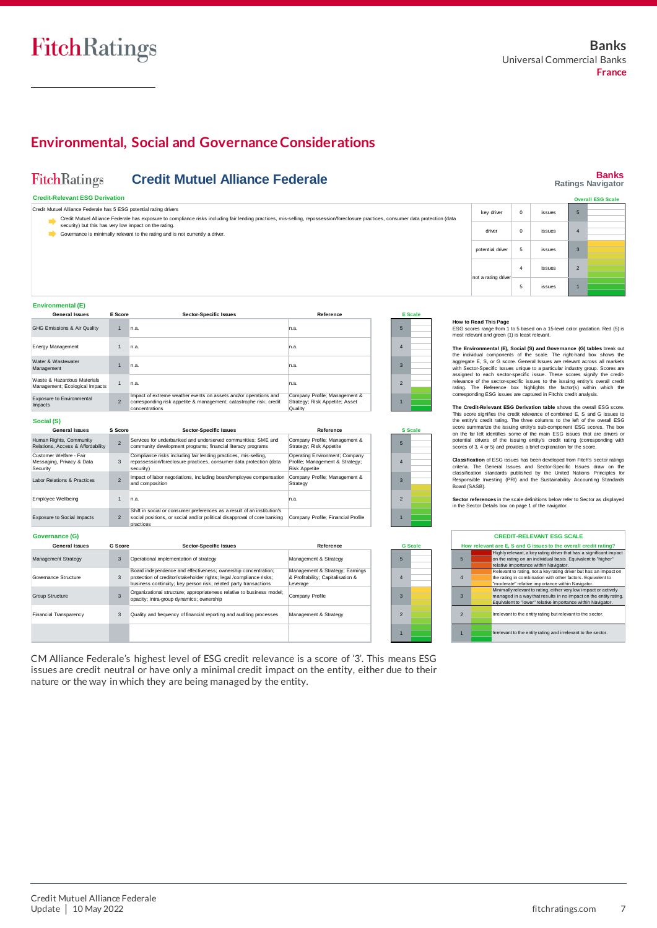### **Environmental, Social and Governance Considerations**

#### **Banks Ratings Navigator FitchRatings Credit Mutuel Alliance Federale Credit-Relevant ESG Derivation Call ESG Scale** Credit Mutuel Alliance Federale has 5 ESG potential rating drivers 5 key driver 0 issues Credit Mutuel Alliance Federale has exposure to compliance risks including fair lending practices, mis-selling, repossession/foreclosure practices, consumer data protection (data<br>security) but this has very low impact on t driver 0 issues 4 Governance is minimally relevant to the rating and is not currently a driver. potential driver 5 issues 3 4 issues 2 From 1 to 1 arating driver and the states of the states of the states of the states of the states of the states of the states and green (1) is least relevant.<br>The state is most relevant and green (1) is least relevant. ot a rating d 5 issues 1 **The Environmental (E), Social (S) and Governance (G) tables break out**<br>
ESG scores range from 1 to 5 based on a 15-level color gradation. Red (5) is<br>
most relevant and green (1) is least relevant.<br> **The Environmental (E),** How to Read This Page<br>ESG scores range from 1 to 5 based on a 15-level color gradation. Red (5) is<br>most relevant and green (1) is least relevant.<br>The Environmental (E), Social (S) and Governance (G) tables break out<br>the in **Environmental (E) General Issues E Score Sector-Specific Issues Reference E Scale How to Read This Page** GHG Emissions & Air Quality 1 n.a. n.a. 5 Energy Management 1 n.a. 4 n.a. **The Environmental (E), Social (S) and Governance (G) tables break out** the individual components of the scale. The right-hand box shows the overall masket shows the overall estates unique to a particular industry group. S Water & Wastewater aggregate E, S, or G score. General Issues are relevant across all markets with Secto-Specific Issues unique to a particular industry group. Scores are assigned to each sector-specific issue. These scores signify the credi 1 n.a. n.a. 3 Waste & Hazardous Materials Management; Ecological Impacts 1 2 n.a. n.a. rating. The Reference box highlights the factor(s) within which the corresponding ESG issues are captured in Fitch's credit analysis. Company Profile; Management &<br>Strategy; Risk Appetite; Asset Exposure to Environmental Impact of extreme weather events on assets and/or operations and corresponding risk appetite & management; catastrophe risk; credit 2 strategy; Risk Appetite; Asset 1 The Credit-Relevant ESG Derivation table shows the overall ESG score.<br>This score signifies the credit relevance of combined E, S and G issues to<br>the netrity's credit rating. The three columns to the left of the overall ESG Impacts concentrations **Quality Social (S)** the entity's credit rating. The three columns to the left of the overall ESG scores summarize the issuing entity's sub-component ESG scores. The box on the far left lidentifies some of the main ESG issues that are drivers **General Issues Sector-Specific Issues Reference S S S Score** Human Rights, Community Company Profile; Management & Services for underbanked and underserved communities: SME and 2 5 Relations, Access & Affordability community development programs; financial literacy programs Strategy; Risk Appetite Compliance risks including fair lending practices, mis-selling, Operating Environment; Company Messaging, Privacy & Data Profile; Management & Strategy; 3 repossession/foreclosure practices, consumer data protection (data Profile; Management & Strategy; | 4 Security security) Risk Appetite Impact of labor negotiations, including board/employee compensation Labor Relations & Practices Company Profile; Management & Strategy 2 3 and composition Employee Wellbeing 1 2 n.a. n.a. **Sector references** in the scale definitions below refer to Sector as displayed in the Sector Details hox on page 1 of the pavigator ector Details box on page 1 of the navigator. Shift in social or consumer preferences as a result of an institution's Exposure to Social Impacts Company Profile; Financial Profile 2 social positions, or social and/or political disapproval of core banking Company Profile; Financial Profile | 1 practices **Governance (G) CREDIT-RELEVANT ESG SCALE General Issues G Score Sector-Specific Issues Reference G Scale How relevant are E, S and G issues to the overall credit rating?** Highly relevant, a key rating driver that has a significant impact Operational implementation of strategy Management Strategy 3 Management & Strategy 5 5 on the rating on an individual basis. Equivalent to "higher" relative importance within Navigator. |<br>Board independence and effectiveness; ownership concentration; **Management & Strategy; Earnings**<br>**& Profitability: Canitalisation &** Relevant to rating, not a key rating driver but has an impact on Governance Structure 3 & Profitability; Capitalis 4 protection of creditor/stakeholder rights; legal /compliance risks; business continuity; key person risk; related party transactions 4 the rating in combination with other factors. Equivalent to everage "moderate" relative importance within Navigator. Organizational structure; appropriateness relative to business model;<br>opacity: intra-group dynamics: ownership Minimally relevant to rating, either very low impact or actively managed in a way that results in no impact on the entity rating. Group Structure 3 Company Profile 3 opacity; intra-group dynamics; ownership 3 Equivalent to "lower" relative importance within Navigator. Financial Transparency 3 Quality and frequency of financial reporting and auditing processes Management & Strategy  $\overline{2}$ 2 **Irrelevant to the entity rating but relevant to the sector.** 1

CM Alliance Federale's highest level of ESG credit relevance is a score of '3'. This means ESG issues are credit neutral or have only a minimal credit impact on the entity, either due to their nature or the way in which they are being managed by the entity.

| <b>CREDIT-RELEVANT ESG SCALE</b>                                 |  |                                                                    |  |  |
|------------------------------------------------------------------|--|--------------------------------------------------------------------|--|--|
| How relevant are E, S and G issues to the overall credit rating? |  |                                                                    |  |  |
|                                                                  |  | Highly relevant, a key rating driver that has a significant impact |  |  |
| 5                                                                |  | on the rating on an individual basis. Equivalent to "higher"       |  |  |
|                                                                  |  | relative importance within Navigator.                              |  |  |
|                                                                  |  | Relevant to rating, not a key rating driver but has an impact on   |  |  |
| $\overline{4}$                                                   |  | the rating in combination with other factors. Equivalent to        |  |  |
|                                                                  |  | "moderate" relative importance within Navigator.                   |  |  |
|                                                                  |  | Minimally relevant to rating, either very low impact or actively   |  |  |
| $\overline{3}$                                                   |  | managed in a way that results in no impact on the entity rating.   |  |  |
|                                                                  |  | Equivalent to "lower" relative importance within Navigator.        |  |  |
|                                                                  |  |                                                                    |  |  |
| $\mathfrak{p}$                                                   |  | Irrelevant to the entity rating but relevant to the sector.        |  |  |
|                                                                  |  |                                                                    |  |  |
|                                                                  |  |                                                                    |  |  |
|                                                                  |  | Irrelevant to the entity rating and irrelevant to the sector.      |  |  |